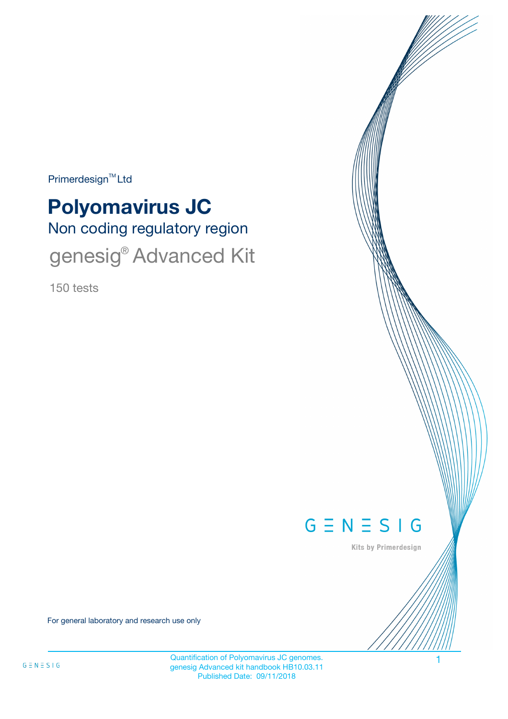Primerdesign<sup>™</sup>Ltd

# Non coding regulatory region **Polyomavirus JC** genesig<sup>®</sup> Advanced Kit

150 tests



Kits by Primerdesign

For general laboratory and research use only

Quantification of Polyomavirus JC genomes. 1 genesig Advanced kit handbook HB10.03.11 Published Date: 09/11/2018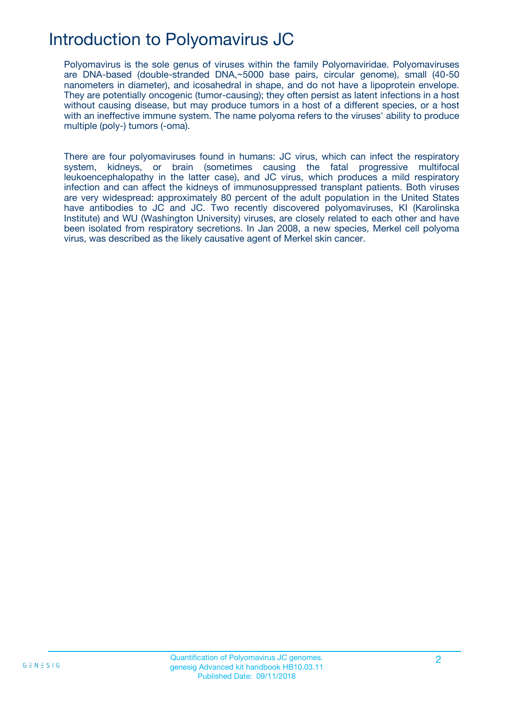## Introduction to Polyomavirus JC

Polyomavirus is the sole genus of viruses within the family Polyomaviridae. Polyomaviruses are DNA-based (double-stranded DNA,~5000 base pairs, circular genome), small (40-50 nanometers in diameter), and icosahedral in shape, and do not have a lipoprotein envelope. They are potentially oncogenic (tumor-causing); they often persist as latent infections in a host without causing disease, but may produce tumors in a host of a different species, or a host with an ineffective immune system. The name polyoma refers to the viruses' ability to produce multiple (poly-) tumors (-oma).

There are four polyomaviruses found in humans: JC virus, which can infect the respiratory system, kidneys, or brain (sometimes causing the fatal progressive multifocal leukoencephalopathy in the latter case), and JC virus, which produces a mild respiratory infection and can affect the kidneys of immunosuppressed transplant patients. Both viruses are very widespread: approximately 80 percent of the adult population in the United States have antibodies to JC and JC. Two recently discovered polyomaviruses, KI (Karolinska Institute) and WU (Washington University) viruses, are closely related to each other and have been isolated from respiratory secretions. In Jan 2008, a new species, Merkel cell polyoma virus, was described as the likely causative agent of Merkel skin cancer.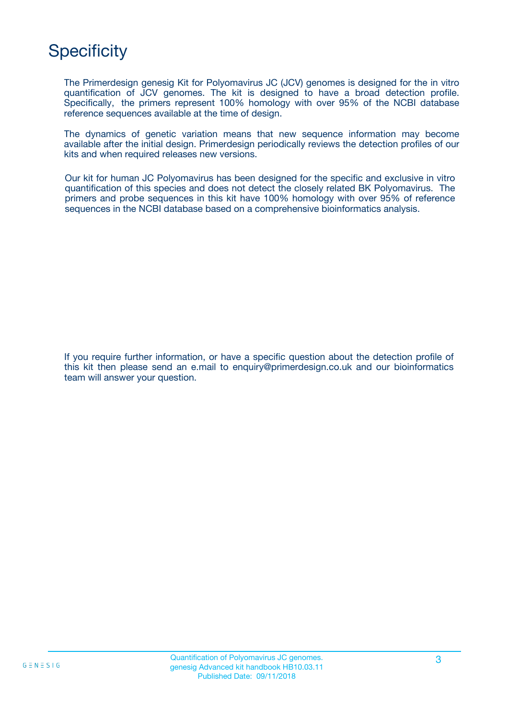## **Specificity**

The Primerdesign genesig Kit for Polyomavirus JC (JCV) genomes is designed for the in vitro quantification of JCV genomes. The kit is designed to have a broad detection profile. Specifically, the primers represent 100% homology with over 95% of the NCBI database reference sequences available at the time of design.

The dynamics of genetic variation means that new sequence information may become available after the initial design. Primerdesign periodically reviews the detection profiles of our kits and when required releases new versions.

Our kit for human JC Polyomavirus has been designed for the specific and exclusive in vitro quantification of this species and does not detect the closely related BK Polyomavirus. The primers and probe sequences in this kit have 100% homology with over 95% of reference sequences in the NCBI database based on a comprehensive bioinformatics analysis.

If you require further information, or have a specific question about the detection profile of this kit then please send an e.mail to enquiry@primerdesign.co.uk and our bioinformatics team will answer your question.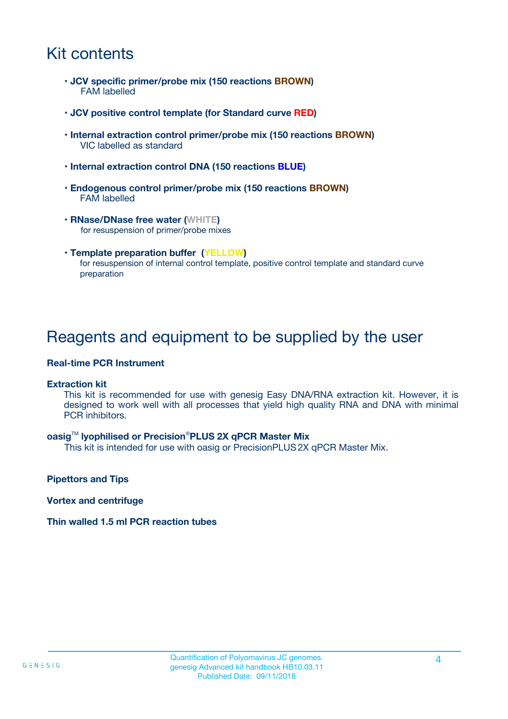## Kit contents

- **JCV specific primer/probe mix (150 reactions BROWN)** FAM labelled
- **JCV positive control template (for Standard curve RED)**
- **Internal extraction control primer/probe mix (150 reactions BROWN)** VIC labelled as standard
- **Internal extraction control DNA (150 reactions BLUE)**
- **Endogenous control primer/probe mix (150 reactions BROWN)** FAM labelled
- **RNase/DNase free water (WHITE)** for resuspension of primer/probe mixes
- **Template preparation buffer (YELLOW)** for resuspension of internal control template, positive control template and standard curve preparation

## Reagents and equipment to be supplied by the user

#### **Real-time PCR Instrument**

#### **Extraction kit**

This kit is recommended for use with genesig Easy DNA/RNA extraction kit. However, it is designed to work well with all processes that yield high quality RNA and DNA with minimal PCR inhibitors.

#### **oasig**TM **lyophilised or Precision**®**PLUS 2X qPCR Master Mix**

This kit is intended for use with oasig or PrecisionPLUS2X qPCR Master Mix.

**Pipettors and Tips**

**Vortex and centrifuge**

#### **Thin walled 1.5 ml PCR reaction tubes**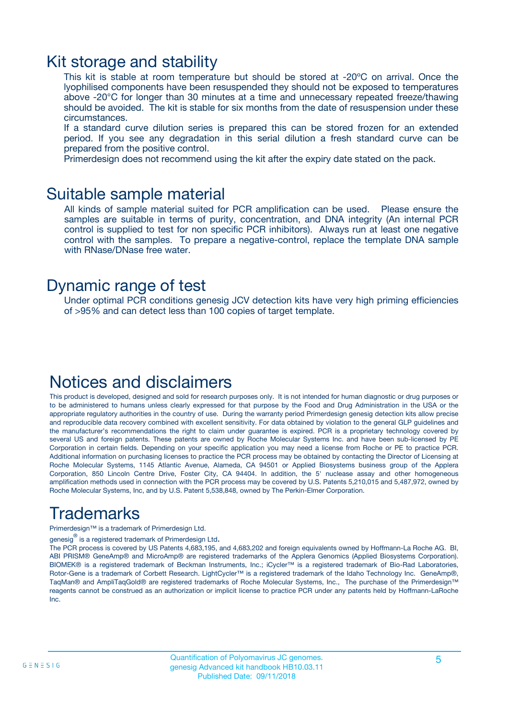### Kit storage and stability

This kit is stable at room temperature but should be stored at -20ºC on arrival. Once the lyophilised components have been resuspended they should not be exposed to temperatures above -20°C for longer than 30 minutes at a time and unnecessary repeated freeze/thawing should be avoided. The kit is stable for six months from the date of resuspension under these circumstances.

If a standard curve dilution series is prepared this can be stored frozen for an extended period. If you see any degradation in this serial dilution a fresh standard curve can be prepared from the positive control.

Primerdesign does not recommend using the kit after the expiry date stated on the pack.

### Suitable sample material

All kinds of sample material suited for PCR amplification can be used. Please ensure the samples are suitable in terms of purity, concentration, and DNA integrity (An internal PCR control is supplied to test for non specific PCR inhibitors). Always run at least one negative control with the samples. To prepare a negative-control, replace the template DNA sample with RNase/DNase free water.

### Dynamic range of test

Under optimal PCR conditions genesig JCV detection kits have very high priming efficiencies of >95% and can detect less than 100 copies of target template.

### Notices and disclaimers

This product is developed, designed and sold for research purposes only. It is not intended for human diagnostic or drug purposes or to be administered to humans unless clearly expressed for that purpose by the Food and Drug Administration in the USA or the appropriate regulatory authorities in the country of use. During the warranty period Primerdesign genesig detection kits allow precise and reproducible data recovery combined with excellent sensitivity. For data obtained by violation to the general GLP guidelines and the manufacturer's recommendations the right to claim under guarantee is expired. PCR is a proprietary technology covered by several US and foreign patents. These patents are owned by Roche Molecular Systems Inc. and have been sub-licensed by PE Corporation in certain fields. Depending on your specific application you may need a license from Roche or PE to practice PCR. Additional information on purchasing licenses to practice the PCR process may be obtained by contacting the Director of Licensing at Roche Molecular Systems, 1145 Atlantic Avenue, Alameda, CA 94501 or Applied Biosystems business group of the Applera Corporation, 850 Lincoln Centre Drive, Foster City, CA 94404. In addition, the 5' nuclease assay and other homogeneous amplification methods used in connection with the PCR process may be covered by U.S. Patents 5,210,015 and 5,487,972, owned by Roche Molecular Systems, Inc, and by U.S. Patent 5,538,848, owned by The Perkin-Elmer Corporation.

## Trademarks

Primerdesign™ is a trademark of Primerdesign Ltd.

genesig $^\circledR$  is a registered trademark of Primerdesign Ltd.

The PCR process is covered by US Patents 4,683,195, and 4,683,202 and foreign equivalents owned by Hoffmann-La Roche AG. BI, ABI PRISM® GeneAmp® and MicroAmp® are registered trademarks of the Applera Genomics (Applied Biosystems Corporation). BIOMEK® is a registered trademark of Beckman Instruments, Inc.; iCycler™ is a registered trademark of Bio-Rad Laboratories, Rotor-Gene is a trademark of Corbett Research. LightCycler™ is a registered trademark of the Idaho Technology Inc. GeneAmp®, TaqMan® and AmpliTaqGold® are registered trademarks of Roche Molecular Systems, Inc., The purchase of the Primerdesign™ reagents cannot be construed as an authorization or implicit license to practice PCR under any patents held by Hoffmann-LaRoche Inc.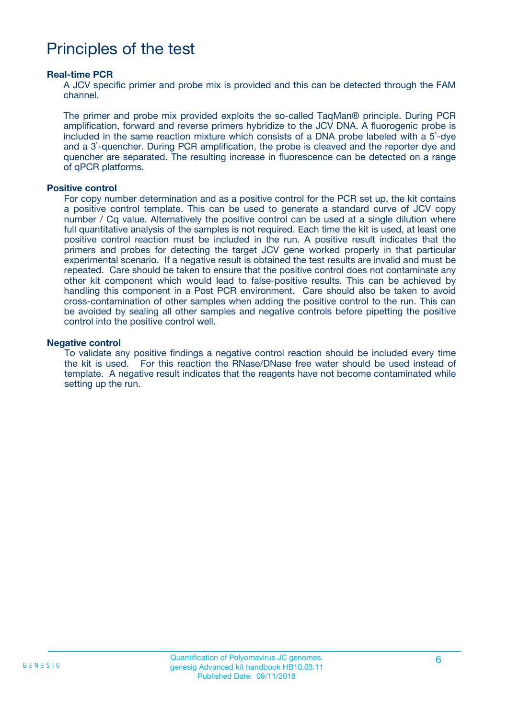## Principles of the test

#### **Real-time PCR**

A JCV specific primer and probe mix is provided and this can be detected through the FAM channel.

The primer and probe mix provided exploits the so-called TaqMan® principle. During PCR amplification, forward and reverse primers hybridize to the JCV DNA. A fluorogenic probe is included in the same reaction mixture which consists of a DNA probe labeled with a 5`-dye and a 3`-quencher. During PCR amplification, the probe is cleaved and the reporter dye and quencher are separated. The resulting increase in fluorescence can be detected on a range of qPCR platforms.

#### **Positive control**

For copy number determination and as a positive control for the PCR set up, the kit contains a positive control template. This can be used to generate a standard curve of JCV copy number / Cq value. Alternatively the positive control can be used at a single dilution where full quantitative analysis of the samples is not required. Each time the kit is used, at least one positive control reaction must be included in the run. A positive result indicates that the primers and probes for detecting the target JCV gene worked properly in that particular experimental scenario. If a negative result is obtained the test results are invalid and must be repeated. Care should be taken to ensure that the positive control does not contaminate any other kit component which would lead to false-positive results. This can be achieved by handling this component in a Post PCR environment. Care should also be taken to avoid cross-contamination of other samples when adding the positive control to the run. This can be avoided by sealing all other samples and negative controls before pipetting the positive control into the positive control well.

#### **Negative control**

To validate any positive findings a negative control reaction should be included every time the kit is used. For this reaction the RNase/DNase free water should be used instead of template. A negative result indicates that the reagents have not become contaminated while setting up the run.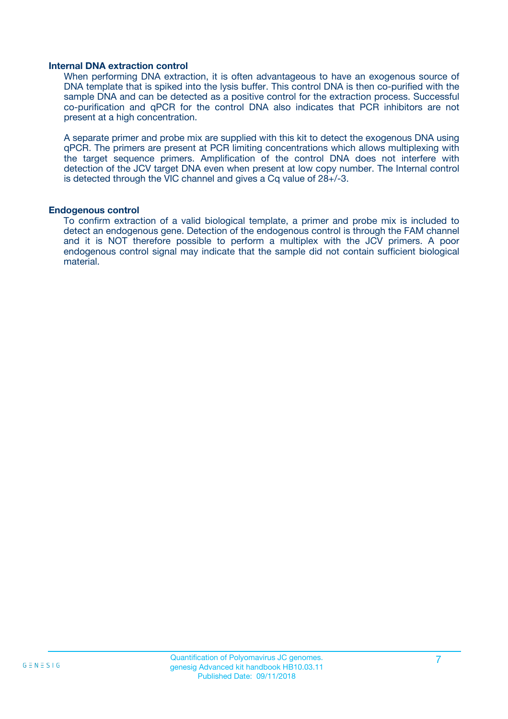#### **Internal DNA extraction control**

When performing DNA extraction, it is often advantageous to have an exogenous source of DNA template that is spiked into the lysis buffer. This control DNA is then co-purified with the sample DNA and can be detected as a positive control for the extraction process. Successful co-purification and qPCR for the control DNA also indicates that PCR inhibitors are not present at a high concentration.

A separate primer and probe mix are supplied with this kit to detect the exogenous DNA using qPCR. The primers are present at PCR limiting concentrations which allows multiplexing with the target sequence primers. Amplification of the control DNA does not interfere with detection of the JCV target DNA even when present at low copy number. The Internal control is detected through the VIC channel and gives a Cq value of 28+/-3.

#### **Endogenous control**

To confirm extraction of a valid biological template, a primer and probe mix is included to detect an endogenous gene. Detection of the endogenous control is through the FAM channel and it is NOT therefore possible to perform a multiplex with the JCV primers. A poor endogenous control signal may indicate that the sample did not contain sufficient biological material.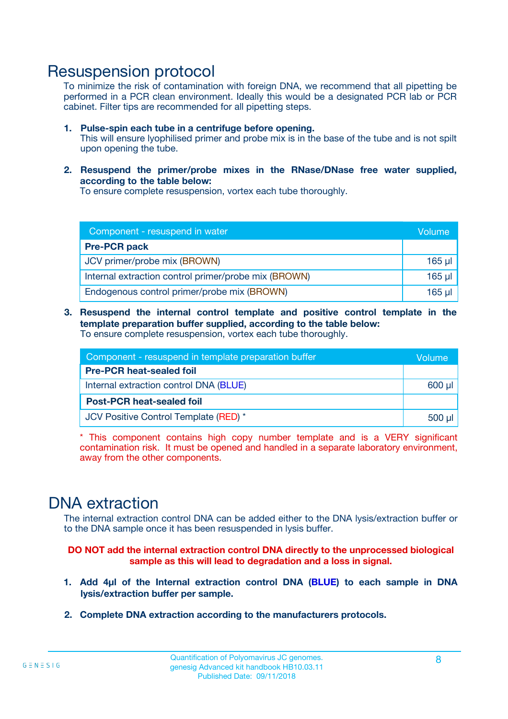### Resuspension protocol

To minimize the risk of contamination with foreign DNA, we recommend that all pipetting be performed in a PCR clean environment. Ideally this would be a designated PCR lab or PCR cabinet. Filter tips are recommended for all pipetting steps.

- **1. Pulse-spin each tube in a centrifuge before opening.** This will ensure lyophilised primer and probe mix is in the base of the tube and is not spilt upon opening the tube.
- **2. Resuspend the primer/probe mixes in the RNase/DNase free water supplied, according to the table below:**

To ensure complete resuspension, vortex each tube thoroughly.

| Component - resuspend in water                       |         |  |
|------------------------------------------------------|---------|--|
| <b>Pre-PCR pack</b>                                  |         |  |
| JCV primer/probe mix (BROWN)                         | $165$ µ |  |
| Internal extraction control primer/probe mix (BROWN) | $165$ µ |  |
| Endogenous control primer/probe mix (BROWN)          | 165 µl  |  |

**3. Resuspend the internal control template and positive control template in the template preparation buffer supplied, according to the table below:** To ensure complete resuspension, vortex each tube thoroughly.

| Component - resuspend in template preparation buffer |          |  |
|------------------------------------------------------|----------|--|
| <b>Pre-PCR heat-sealed foil</b>                      |          |  |
| Internal extraction control DNA (BLUE)               |          |  |
| <b>Post-PCR heat-sealed foil</b>                     |          |  |
| JCV Positive Control Template (RED) *                | $500$ µl |  |

\* This component contains high copy number template and is a VERY significant contamination risk. It must be opened and handled in a separate laboratory environment, away from the other components.

### DNA extraction

The internal extraction control DNA can be added either to the DNA lysis/extraction buffer or to the DNA sample once it has been resuspended in lysis buffer.

**DO NOT add the internal extraction control DNA directly to the unprocessed biological sample as this will lead to degradation and a loss in signal.**

- **1. Add 4µl of the Internal extraction control DNA (BLUE) to each sample in DNA lysis/extraction buffer per sample.**
- **2. Complete DNA extraction according to the manufacturers protocols.**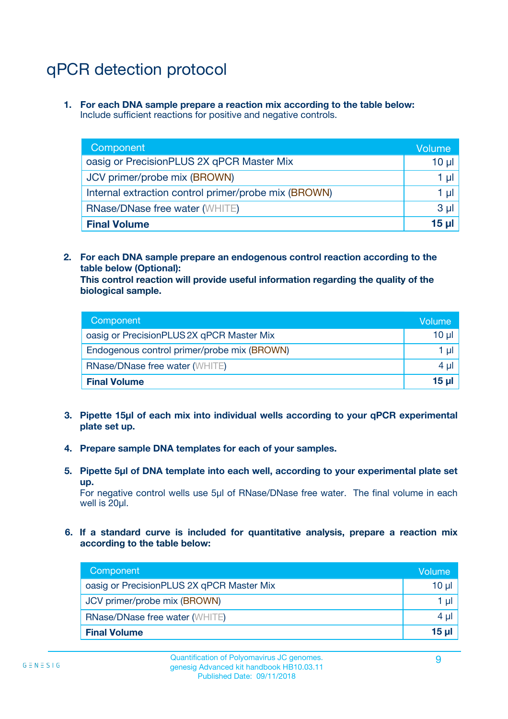## qPCR detection protocol

**1. For each DNA sample prepare a reaction mix according to the table below:** Include sufficient reactions for positive and negative controls.

| Component                                            | Volume   |
|------------------------------------------------------|----------|
| oasig or PrecisionPLUS 2X qPCR Master Mix            | 10 $\mu$ |
| JCV primer/probe mix (BROWN)                         | 1 µI I   |
| Internal extraction control primer/probe mix (BROWN) | 1 µl     |
| <b>RNase/DNase free water (WHITE)</b>                | $3 \mu$  |
| <b>Final Volume</b>                                  | 15 µl    |

**2. For each DNA sample prepare an endogenous control reaction according to the table below (Optional):**

**This control reaction will provide useful information regarding the quality of the biological sample.**

| Component                                   | Volume   |
|---------------------------------------------|----------|
| oasig or PrecisionPLUS 2X qPCR Master Mix   | $10 \mu$ |
| Endogenous control primer/probe mix (BROWN) | 1 µI     |
| <b>RNase/DNase free water (WHITE)</b>       | $4 \mu$  |
| <b>Final Volume</b>                         | 15 µl    |

- **3. Pipette 15µl of each mix into individual wells according to your qPCR experimental plate set up.**
- **4. Prepare sample DNA templates for each of your samples.**
- **5. Pipette 5µl of DNA template into each well, according to your experimental plate set up.**

For negative control wells use 5µl of RNase/DNase free water. The final volume in each well is 20ul.

**6. If a standard curve is included for quantitative analysis, prepare a reaction mix according to the table below:**

| Component                                 | Volume  |
|-------------------------------------------|---------|
| oasig or PrecisionPLUS 2X qPCR Master Mix | 10 µl   |
| JCV primer/probe mix (BROWN)              | 1 µI    |
| <b>RNase/DNase free water (WHITE)</b>     | $4 \mu$ |
| <b>Final Volume</b>                       | 15 µl   |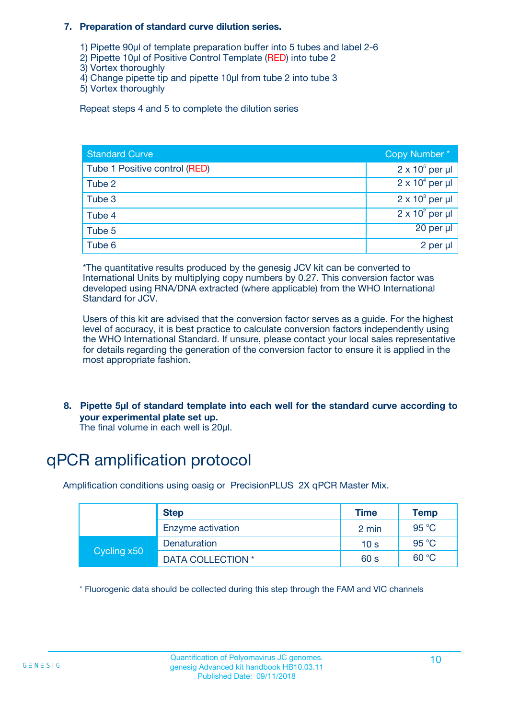#### **7. Preparation of standard curve dilution series.**

- 1) Pipette 90µl of template preparation buffer into 5 tubes and label 2-6
- 2) Pipette 10µl of Positive Control Template (RED) into tube 2
- 3) Vortex thoroughly
- 4) Change pipette tip and pipette 10µl from tube 2 into tube 3
- 5) Vortex thoroughly

Repeat steps 4 and 5 to complete the dilution series

| <b>Standard Curve</b>         | Copy Number*           |
|-------------------------------|------------------------|
| Tube 1 Positive control (RED) | $2 \times 10^5$ per µl |
| Tube 2                        | $2 \times 10^4$ per µl |
| Tube 3                        | $2 \times 10^3$ per µl |
| Tube 4                        | $2 \times 10^2$ per µl |
| Tube 5                        | 20 per µl              |
| Tube 6                        | 2 per µl               |

\*The quantitative results produced by the genesig JCV kit can be converted to International Units by multiplying copy numbers by 0.27. This conversion factor was developed using RNA/DNA extracted (where applicable) from the WHO International Standard for JCV.

Users of this kit are advised that the conversion factor serves as a guide. For the highest level of accuracy, it is best practice to calculate conversion factors independently using the WHO International Standard. If unsure, please contact your local sales representative for details regarding the generation of the conversion factor to ensure it is applied in the most appropriate fashion.

**8. Pipette 5µl of standard template into each well for the standard curve according to your experimental plate set up.**

The final volume in each well is 20µl.

## qPCR amplification protocol

Amplification conditions using oasig or PrecisionPLUS 2X qPCR Master Mix.

|             | <b>Step</b>              | <b>Time</b>     | Temp  |
|-------------|--------------------------|-----------------|-------|
|             | Enzyme activation        | 2 min           | 95 °C |
| Cycling x50 | Denaturation             | 10 <sub>s</sub> | 95 °C |
|             | <b>DATA COLLECTION</b> * | 60 s            | 60 °C |

\* Fluorogenic data should be collected during this step through the FAM and VIC channels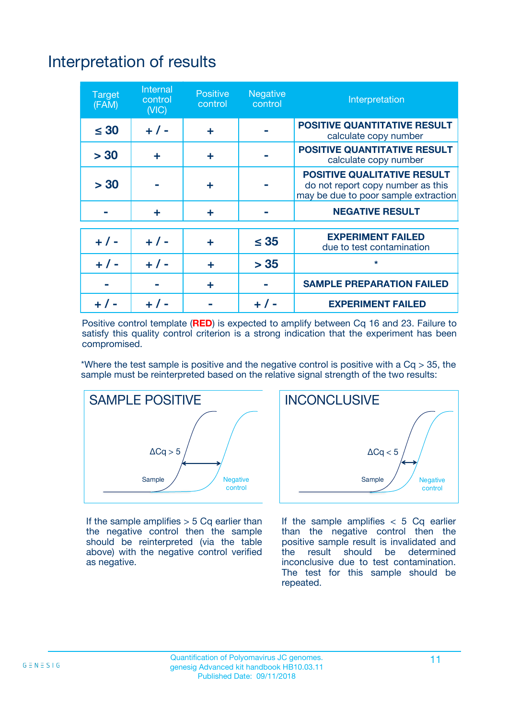## Interpretation of results

| <b>Target</b><br>(FAM) | <b>Internal</b><br>control<br>(NIC) | <b>Positive</b><br>control | <b>Negative</b><br>control | Interpretation                                                                                                  |
|------------------------|-------------------------------------|----------------------------|----------------------------|-----------------------------------------------------------------------------------------------------------------|
| $\leq 30$              | $+ 1 -$                             | ÷                          |                            | <b>POSITIVE QUANTITATIVE RESULT</b><br>calculate copy number                                                    |
| > 30                   | ٠                                   | ÷                          |                            | <b>POSITIVE QUANTITATIVE RESULT</b><br>calculate copy number                                                    |
| > 30                   |                                     | ÷                          |                            | <b>POSITIVE QUALITATIVE RESULT</b><br>do not report copy number as this<br>may be due to poor sample extraction |
|                        | ÷                                   | ÷                          |                            | <b>NEGATIVE RESULT</b>                                                                                          |
| $+ 1 -$                | $+ 1 -$                             | ÷                          | $\leq$ 35                  | <b>EXPERIMENT FAILED</b><br>due to test contamination                                                           |
| $+$ / -                | $+ 1 -$                             | ÷                          | > 35                       | $\star$                                                                                                         |
|                        |                                     | ÷                          |                            | <b>SAMPLE PREPARATION FAILED</b>                                                                                |
|                        |                                     |                            | $+$ /                      | <b>EXPERIMENT FAILED</b>                                                                                        |

Positive control template (**RED**) is expected to amplify between Cq 16 and 23. Failure to satisfy this quality control criterion is a strong indication that the experiment has been compromised.

\*Where the test sample is positive and the negative control is positive with a  $Ca > 35$ , the sample must be reinterpreted based on the relative signal strength of the two results:



If the sample amplifies  $> 5$  Cq earlier than the negative control then the sample should be reinterpreted (via the table above) with the negative control verified as negative.



If the sample amplifies  $< 5$  Cq earlier than the negative control then the positive sample result is invalidated and<br>the result should be determined  $the$  result should be inconclusive due to test contamination. The test for this sample should be repeated.